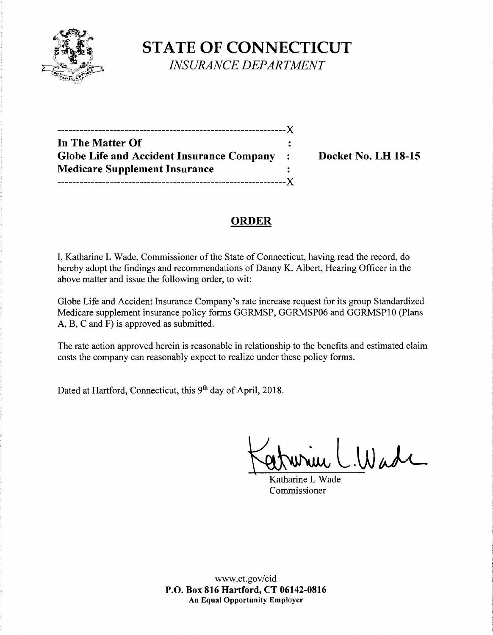

**STATE OF CONNECTICUT**  *INSURANCE DEPARTMENT* 

| -----------------------------                    |                |
|--------------------------------------------------|----------------|
| In The Matter Of                                 |                |
| <b>Globe Life and Accident Insurance Company</b> | $\ddot{\cdot}$ |
| <b>Medicare Supplement Insurance</b>             |                |
|                                                  |                |

**Docket No. LH 18-15** 

# **ORDER**

I, Katharine L Wade, Commissioner of the State of Connecticut, having read the record, do hereby adopt the findings and recommendations of Danny K. Albert, Hearing Officer in the above matter and issue the following order, to wit:

Globe Life and Accident Insurance Company's rate increase request for its group Standardized Medicare supplement insurance policy forms GGRMSP, GGRMSP06 and GGRMSPlO (Plans A, B, C and F) is approved as submitted.

The rate action approved herein is reasonable in relationship to the benefits and estimated claim costs the company can reasonably expect to realize under these policy forms.

Dated at Hartford, Connecticut, this 9<sup>th</sup> day of April, 2018.

 $L.Wadv$ 

Katharine L Wade Commissioner

www.ct.gov/cid **P.O. Box 816 Hartford, CT 06142-0816 An Equal Opportunity Employer**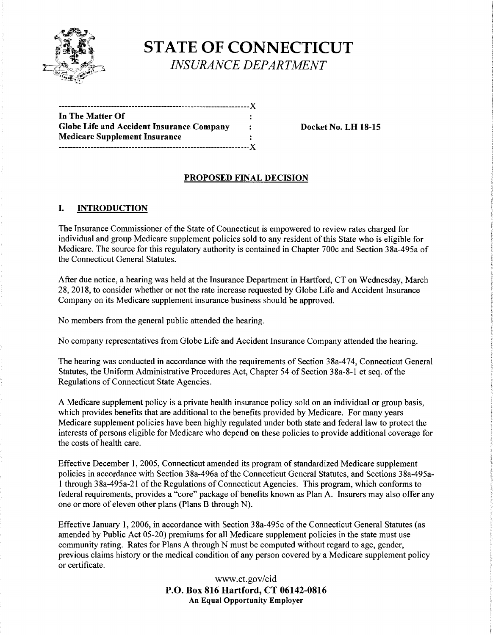

**STATE OF CONNECTICUT**  *INSURANCE DEPARTMENT* 

| In The Matter Of                          |   |
|-------------------------------------------|---|
| Globe Life and Accident Insurance Company | ÷ |
| <b>Medicare Supplement Insurance</b>      |   |
|                                           |   |

**Docket No. LH 18-15** 

## **PROPOSED FINAL DECISION**

### I. **INTRODUCTION**

The Insurance Commissioner of the State of Connecticut is empowered to review rates charged for individual and group Medicare supplement policies sold to any resident of this State who is eligible for Medicare. The source for this regulatory authority is contained in Chapter 700c and Section 38a-495a of the Connecticut General Statutes.

After due notice, a hearing was held at the Insurance Department in Hartford, CT on Wednesday, March 28, 2018, to consider whether or not the rate increase requested by Globe Life and Accident Insurance Company on its Medicare supplement insurance business should be approved.

No members from the general public attended the hearing.

No company representatives from Globe Life and Accident Insurance Company attended the hearing.

The hearing was conducted in accordance with the requirements of Section 38a-474, Connecticut General Statutes, the Uniform Administrative Procedures Act, Chapter 54 of Section 38a-8-1 et seq. of the Regulations of Connecticut State Agencies.

A Medicare supplement policy is a private health insurance policy sold on an individual or group basis, which provides benefits that are additional to the benefits provided by Medicare. For many years Medicare supplement policies have been highly regulated under both state and federal law to protect the interests of persons eligible for Medicare who depend on these policies to provide additional coverage for the costs of health care.

Effective December 1, 2005, Connecticut amended its program of standardized Medicare supplement policies in accordance with Section 38a-496a of the Connecticut General Statutes, and Sections 38a-495al through 38a-495a-21 ofthe Regulations of Connecticut Agencies. This program, which conforms to federal requirements, provides a "core" package of benefits known as Plan A. Insurers may also offer any one or more of eleven other plans (Plans B through N).

Effective January 1, 2006, in accordance with Section 38a-495c ofthe Connecticut General Statutes (as amended by Public Act 05-20) premiums for all Medicare supplement policies in the state must use community rating. Rates for Plans A through N must be computed without regard to age, gender, previous claims history or the medical condition of any person covered by a Medicare supplement policy or certificate.

> www.ct.gov/cid **P.O. Box 816 Hartford, CT 06142-0816 An Equal Opportunity Employer**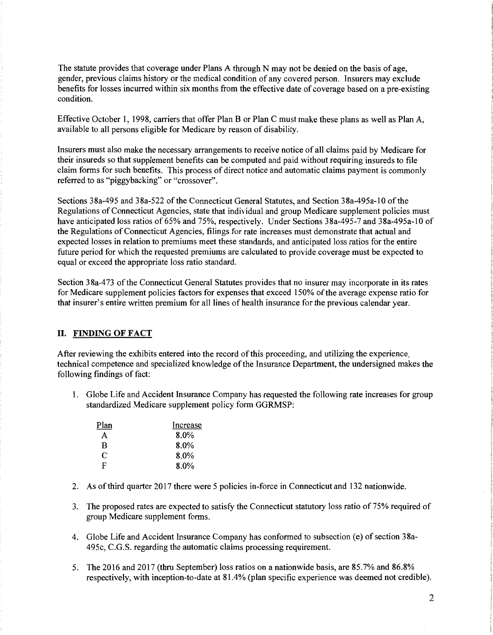The statute provides that coverage under Plans A through N may not be denied on the basis of age, gender, previous claims history or the medical condition of any covered person. Insurers may exclude benefits for losses incurred within six months from the effective date of coverage based on a pre-existing condition.

Effective October 1, 1998, carriers that offer Plan B or Plan C must make these plans as well as Plan A, available to all persons eligible for Medicare by reason of disability.

Insurers must also make the necessary arrangements to receive notice of all claims paid by Medicare for their insureds so that supplement benefits can be computed and paid without requiring insureds to file claim forms for such benefits. This process of direct notice and automatic claims payment is commonly referred to as "piggybacking" or "crossover".

Sections 38a-495 and 38a-522 of the Connecticut General Statutes, and Section 38a-495a-10 of the Regulations of Connecticut Agencies, state that individual and group Medicare supplement policies must have anticipated loss ratios of 65% and 75%, respectively. Under Sections 38a-495-7 and 38a-495a-10 of the Regulations of Connecticut Agencies, filings for rate increases must demonstrate that actual and expected losses in relation to premiums meet these standards, and anticipated loss ratios for the entire future period for which the requested premiums are calculated to provide coverage must be expected to equal or exceed the appropriate loss ratio standard.

Section 38a-473 of the Connecticut General Statutes provides that no insurer may incorporate in its rates for Medicare supplement policies factors for expenses that exceed 150% of the average expense ratio for that insurer's entire written premium for all lines of health insurance for the previous calendar year.

#### II. **FINDING OF FACT**

After reviewing the exhibits entered into the record of this proceeding, and utilizing the experience, technical competence and specialized knowledge of the Insurance Department, the undersigned makes the following findings of fact:

1. Globe Life and Accident Insurance Company has requested the following rate increases for group standardized Medicare supplement policy form GGRMSP:

| Plan | Increase |
|------|----------|
| A    | 8.0%     |
| B    | 8.0%     |
| C    | 8.0%     |
| F    | $8.0\%$  |

- 2. As ofthird quarter 2017 there were 5 policies in-force in Connecticut and 132 nationwide.
- 3. The proposed rates are expected to satisfy the Connecticut statutory loss ratio of 75% required of group Medicare supplement forms.
- 4. Globe Life and Accident Insurance Company has conformed to subsection (e) of section 38a-495c, C.G.S. regarding the automatic claims processing requirement.
- 5. The 2016 and 2017 (thru September) loss ratios on a nationwide basis, are 85.7% and 86.8% respectively, with inception-to-date at 81.4% (plan specific experience was deemed not credible).